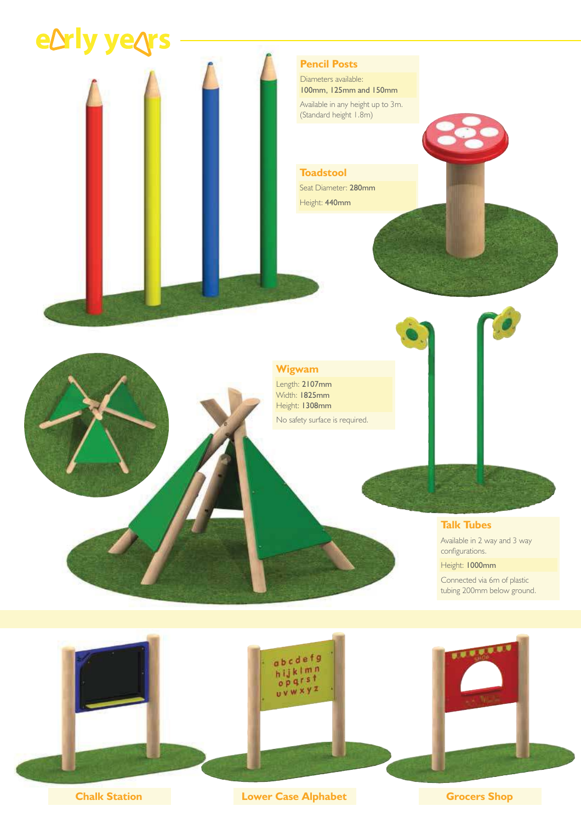



**Chalk Station Chalk Station Lower Case Alphabet Grocers Shop**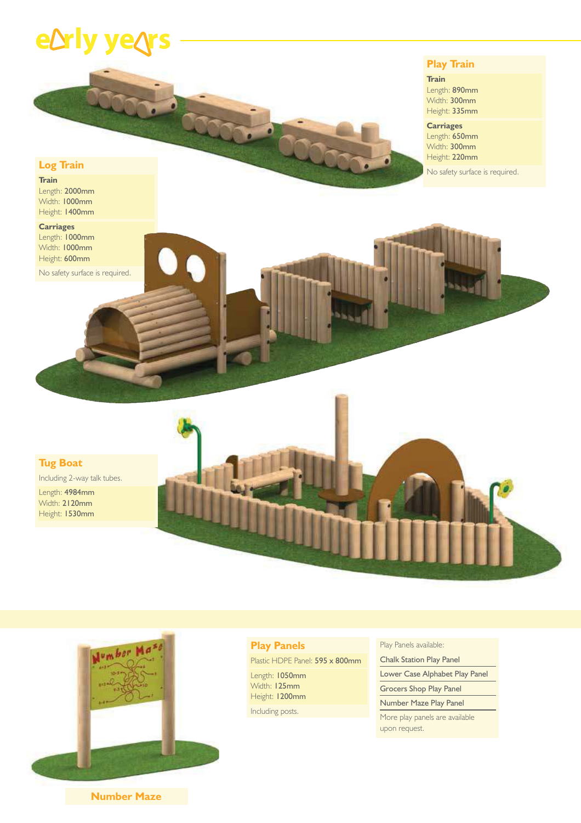## e**Drly ye**

### **Play Train**

**Train** Length: 890mm

Width: 300mm Height: 335mm

## **Carriages**

Length: 650mm Width: 300mm Height: 220mm

No safety surface is required.

**Train** Length: 2000mm Width: 1000mm Height: 1400mm

**Log Train**

**Carriages** Length: 1000mm Width: 1000mm Height: 600mm

No safety surface is required.

**Tug Boat**

Including 2-way talk tubes. Length: 4984mm

Width: 2120mm Height: 1530mm





### **Play Panels**

Plastic HDPE Panel: 595 x 800mm Length: 1050mm Width: 125mm Height: 1200mm

Including posts.

Play Panels available:

Chalk Station Play Panel

Lower Case Alphabet Play Panel

Grocers Shop Play Panel

Number Maze Play Panel More play panels are available

upon request.

**Number Maze**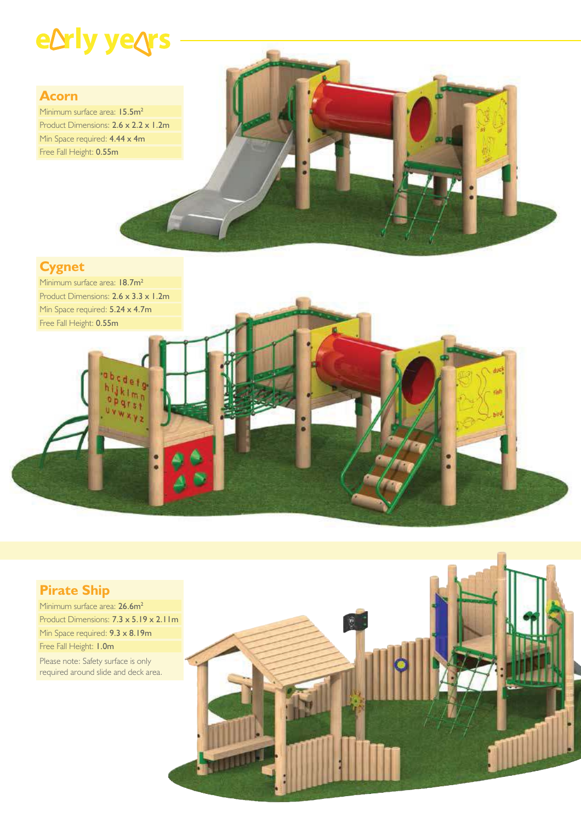# eDrly yeQrs

## **Acorn**

Minimum surface area: 15.5m<sup>2</sup> Product Dimensions: 2.6 x 2.2 x 1.2m Min Space required: **4.44 x 4m** Free Fall Height: 0.55m



## **Cygnet**

Minimum surface area: 18.7m<sup>2</sup> Product Dimensions: 2.6 x 3.3 x 1.2m Min Space required: 5.24 x 4.7m Free Fall Height: 0.55m

## **Pirate Ship**

Minimum surface area: 26.6m<sup>2</sup> Product Dimensions: 7.3 x 5.19 x 2.11m Min Space required: 9.3 x 8.19m Free Fall Height: 1.0m Please note: Safety surface is only required around slide and deck area.

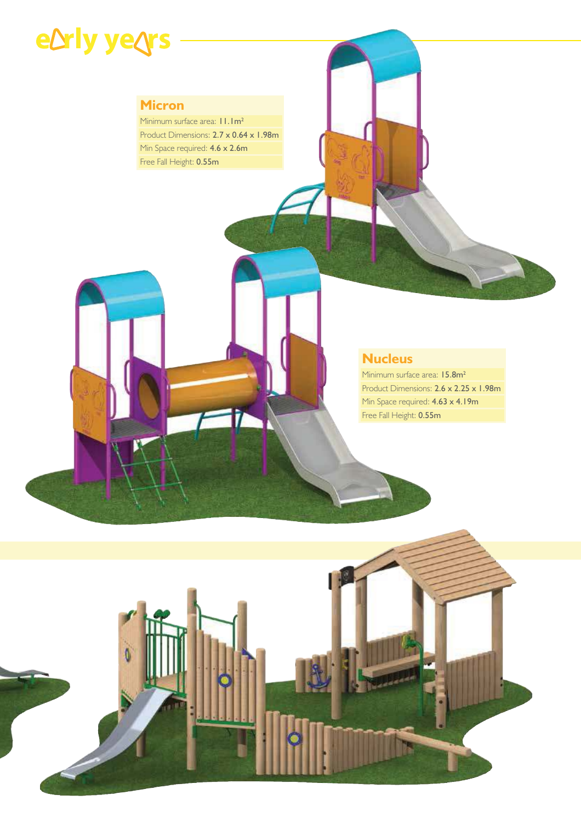# eDrly yeQrs

## **Micron**

Minimum surface area:  $11.1m^2$ Product Dimensions: 2.7 x 0.64 x 1.98m Min Space required: 4.6 x 2.6m Free Fall Height: 0.55m

## **Nucleus**

Minimum surface area: 15.8m<sup>2</sup> Product Dimensions: 2.6 x 2.25 x 1.98m Min Space required: **4.63 x 4.19m** Free Fall Height: 0.55m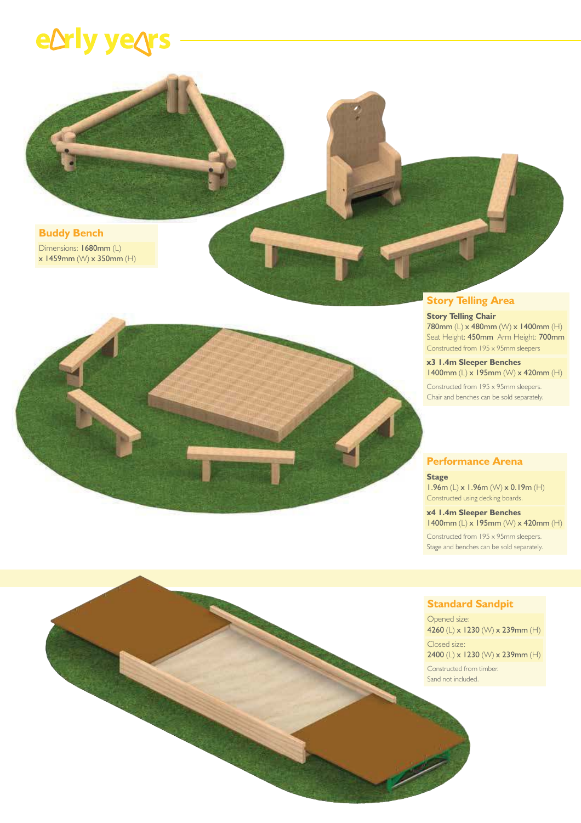## e**Drly yegrs**





### **Story Telling Area**

### **Story Telling Chair**

780mm (L) x 480mm (W) x 1400mm (H) Seat Height: 450mm Arm Height: 700mm Constructed from 195 x 95mm sleepers

### **x3 1.4m Sleeper Benches**

1400mm (L) x 195mm (W) x 420mm (H) Constructed from 195 x 95mm sleepers. Chair and benches can be sold separately.

### **Performance Arena**

#### **Stage**

1.96m (L) x 1.96m (W) x 0.19m (H) Constructed using decking boards.

#### **x4 1.4m Sleeper Benches** 1400mm (L) x 195mm (W) x 420mm (H)

Constructed from 195 x 95mm sleepers. Stage and benches can be sold separately.

### **Standard Sandpit**

Opened size: 4260 (L) x 1230 (W) x 239mm (H)

Closed size: 2400 (L) x 1230 (W) x 239mm (H) Constructed from timber.

Sand not included.